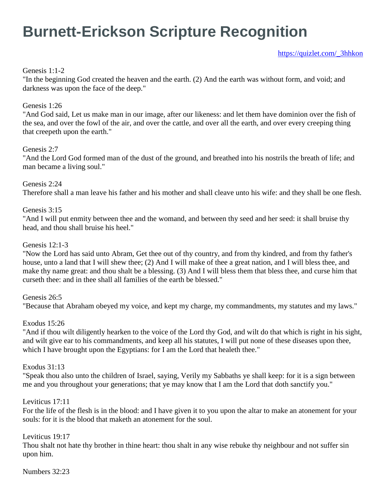# **Burnett-Erickson Scripture Recognition**

[https://quizlet.com/\\_3hhkon](https://quizlet.com/_3hhkon)

#### Genesis 1:1-2

"In the beginning God created the heaven and the earth. (2) And the earth was without form, and void; and darkness was upon the face of the deep."

#### Genesis 1:26

"And God said, Let us make man in our image, after our likeness: and let them have dominion over the fish of the sea, and over the fowl of the air, and over the cattle, and over all the earth, and over every creeping thing that creepeth upon the earth."

#### Genesis 2:7

"And the Lord God formed man of the dust of the ground, and breathed into his nostrils the breath of life; and man became a living soul."

Genesis 2:24 Therefore shall a man leave his father and his mother and shall cleave unto his wife: and they shall be one flesh.

#### Genesis 3:15

"And I will put enmity between thee and the womand, and between thy seed and her seed: it shall bruise thy head, and thou shall bruise his heel."

#### Genesis 12:1-3

"Now the Lord has said unto Abram, Get thee out of thy country, and from thy kindred, and from thy father's house, unto a land that I will shew thee; (2) And I will make of thee a great nation, and I will bless thee, and make thy name great: and thou shalt be a blessing. (3) And I will bless them that bless thee, and curse him that curseth thee: and in thee shall all families of the earth be blessed."

#### Genesis 26:5

"Because that Abraham obeyed my voice, and kept my charge, my commandments, my statutes and my laws."

#### Exodus 15:26

"And if thou wilt diligently hearken to the voice of the Lord thy God, and wilt do that which is right in his sight, and wilt give ear to his commandments, and keep all his statutes, I will put none of these diseases upon thee, which I have brought upon the Egyptians: for I am the Lord that healeth thee."

#### Exodus 31:13

"Speak thou also unto the children of Israel, saying, Verily my Sabbaths ye shall keep: for it is a sign between me and you throughout your generations; that ye may know that I am the Lord that doth sanctify you."

#### Leviticus 17:11

For the life of the flesh is in the blood: and I have given it to you upon the altar to make an atonement for your souls: for it is the blood that maketh an atonement for the soul.

#### Leviticus 19:17

Thou shalt not hate thy brother in thine heart: thou shalt in any wise rebuke thy neighbour and not suffer sin upon him.

#### Numbers 32:23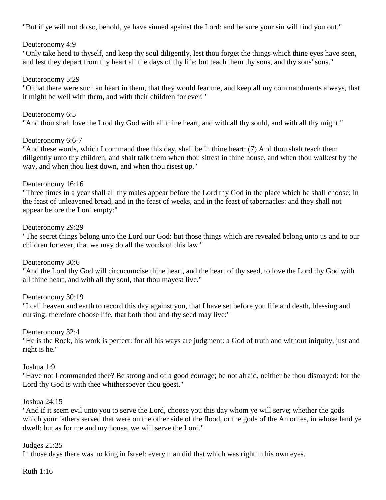"But if ye will not do so, behold, ye have sinned against the Lord: and be sure your sin will find you out."

## Deuteronomy 4:9

"Only take heed to thyself, and keep thy soul diligently, lest thou forget the things which thine eyes have seen, and lest they depart from thy heart all the days of thy life: but teach them thy sons, and thy sons' sons."

#### Deuteronomy 5:29

"O that there were such an heart in them, that they would fear me, and keep all my commandments always, that it might be well with them, and with their children for ever!"

#### Deuteronomy 6:5

"And thou shalt love the Lrod thy God with all thine heart, and with all thy sould, and with all thy might."

#### Deuteronomy 6:6-7

"And these words, which I command thee this day, shall be in thine heart: (7) And thou shalt teach them diligently unto thy children, and shalt talk them when thou sittest in thine house, and when thou walkest by the way, and when thou liest down, and when thou risest up."

#### Deuteronomy 16:16

"Three times in a year shall all thy males appear before the Lord thy God in the place which he shall choose; in the feast of unleavened bread, and in the feast of weeks, and in the feast of tabernacles: and they shall not appear before the Lord empty:"

#### Deuteronomy 29:29

"The secret things belong unto the Lord our God: but those things which are revealed belong unto us and to our children for ever, that we may do all the words of this law."

#### Deuteronomy 30:6

"And the Lord thy God will circucumcise thine heart, and the heart of thy seed, to love the Lord thy God with all thine heart, and with all thy soul, that thou mayest live."

#### Deuteronomy 30:19

"I call heaven and earth to record this day against you, that I have set before you life and death, blessing and cursing: therefore choose life, that both thou and thy seed may live:"

#### Deuteronomy 32:4

"He is the Rock, his work is perfect: for all his ways are judgment: a God of truth and without iniquity, just and right is he."

#### Joshua 1:9

"Have not I commanded thee? Be strong and of a good courage; be not afraid, neither be thou dismayed: for the Lord thy God is with thee whithersoever thou goest."

#### Joshua 24:15

"And if it seem evil unto you to serve the Lord, choose you this day whom ye will serve; whether the gods which your fathers served that were on the other side of the flood, or the gods of the Amorites, in whose land ye dwell: but as for me and my house, we will serve the Lord."

#### Judges 21:25

In those days there was no king in Israel: every man did that which was right in his own eyes.

#### Ruth 1:16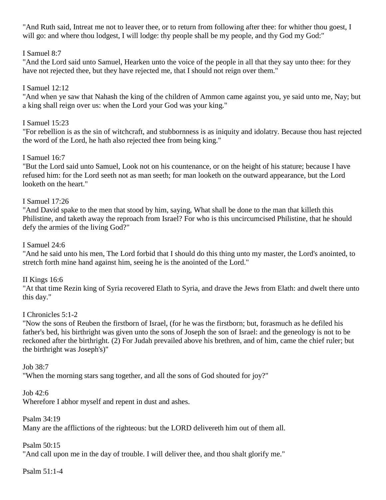"And Ruth said, Intreat me not to leaver thee, or to return from following after thee: for whither thou goest, I will go: and where thou lodgest, I will lodge: thy people shall be my people, and thy God my God:"

## I Samuel 8:7

"And the Lord said unto Samuel, Hearken unto the voice of the people in all that they say unto thee: for they have not rejected thee, but they have rejected me, that I should not reign over them."

## I Samuel 12:12

"And when ye saw that Nahash the king of the children of Ammon came against you, ye said unto me, Nay; but a king shall reign over us: when the Lord your God was your king."

## I Samuel 15:23

"For rebellion is as the sin of witchcraft, and stubbornness is as iniquity and idolatry. Because thou hast rejected the word of the Lord, he hath also rejected thee from being king."

# I Samuel 16:7

"But the Lord said unto Samuel, Look not on his countenance, or on the height of his stature; because I have refused him: for the Lord seeth not as man seeth; for man looketh on the outward appearance, but the Lord looketh on the heart."

## I Samuel 17:26

"And David spake to the men that stood by him, saying, What shall be done to the man that killeth this Philistine, and taketh away the reproach from Israel? For who is this uncircumcised Philistine, that he should defy the armies of the living God?"

## I Samuel 24:6

"And he said unto his men, The Lord forbid that I should do this thing unto my master, the Lord's anointed, to stretch forth mine hand against him, seeing he is the anointed of the Lord."

## II Kings 16:6

"At that time Rezin king of Syria recovered Elath to Syria, and drave the Jews from Elath: and dwelt there unto this day."

## I Chronicles 5:1-2

"Now the sons of Reuben the firstborn of Israel, (for he was the firstborn; but, forasmuch as he defiled his father's bed, his birthright was given unto the sons of Joseph the son of Israel: and the geneology is not to be reckoned after the birthright. (2) For Judah prevailed above his brethren, and of him, came the chief ruler; but the birthright was Joseph's)"

## Job 38:7

"When the morning stars sang together, and all the sons of God shouted for joy?"

Job 42:6

Wherefore I abhor myself and repent in dust and ashes.

Psalm 34:19

Many are the afflictions of the righteous: but the LORD delivereth him out of them all.

## Psalm 50:15

"And call upon me in the day of trouble. I will deliver thee, and thou shalt glorify me."

Psalm 51:1-4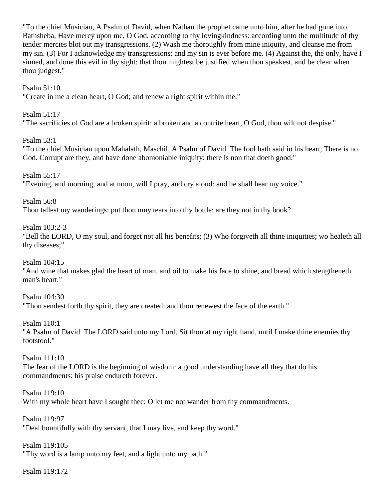"To the chief Musician, A Psalm of David, when Nathan the prophet came unto him, after he had gone into Bathsheba, Have mercy upon me, O God, according to thy lovingkindness: according unto the multitude of thy tender mercies blot out my transgressions. (2) Wash me thoroughly from mine iniquity, and cleanse me from my sin. (3) For I acknowledge my transgressions: and my sin is ever before me. (4) Against the, the only, have I sinned, and done this evil in thy sight: that thou mightest be justified when thou speakest, and be clear when thou judgest."

Psalm 51:10

"Create in me a clean heart, O God; and renew a right spirit within me."

Psalm 51:17 "The sacrificies of God are a broken spirit: a broken and a contrite heart, O God, thou wilt not despise."

Psalm 53:1

"To the chief Musician upon Mahalath, Maschil, A Psalm of David. The fool hath said in his heart, There is no God. Corrupt are they, and have done abomoniable iniquity: there is non that doeth good."

Psalm 55:17

"Evening, and morning, and at noon, will I pray, and cry aloud: and he shall hear my voice."

Psalm 56:8

Thou tallest my wanderings: put thou mny tears into thy bottle: are they not in thy book?

Psalm 103:2-3

"Bell the LORD, O my soul, and forget not all his benefits; (3) Who forgiveth all thine iniquities; wo healeth all thy diseases;"

Psalm 104:15

"And wine that makes glad the heart of man, and oil to make his face to shine, and bread which stengtheneth man's heart."

Psalm 104:30 "Thou sendest forth thy spirit, they are created: and thou renewest the face of the earth."

Psalm 110:1 "A Psalm of David. The LORD said unto my Lord, Sit thou at my right hand, until I make thine enemies thy footstool."

Psalm 111:10 The fear of the LORD is the beginning of wisdom: a good understanding have all they that do his commandments: his praise endureth forever.

Psalm 119:10 With my whole heart have I sought thee: O let me not wander from thy commandments.

Psalm 119:97 "Deal bountifully with thy servant, that I may live, and keep thy word."

Psalm 119:105 "Thy word is a lamp unto my feet, and a light unto my path."

Psalm 119:172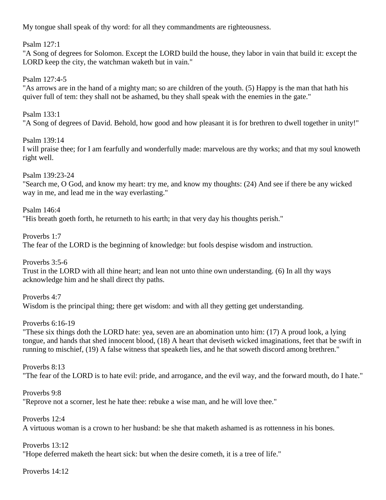My tongue shall speak of thy word: for all they commandments are righteousness.

Psalm 127:1

"A Song of degrees for Solomon. Except the LORD build the house, they labor in vain that build it: except the LORD keep the city, the watchman waketh but in vain."

Psalm 127:4-5

"As arrows are in the hand of a mighty man; so are children of the youth. (5) Happy is the man that hath his quiver full of tem: they shall not be ashamed, bu they shall speak with the enemies in the gate."

Psalm 133:1 "A Song of degrees of David. Behold, how good and how pleasant it is for brethren to dwell together in unity!"

Psalm 139:14 I will praise thee; for I am fearfully and wonderfully made: marvelous are thy works; and that my soul knoweth right well.

Psalm 139:23-24 "Search me, O God, and know my heart: try me, and know my thoughts: (24) And see if there be any wicked way in me, and lead me in the way everlasting."

Psalm 146:4 "His breath goeth forth, he returneth to his earth; in that very day his thoughts perish."

Proverbs 1:7 The fear of the LORD is the beginning of knowledge: but fools despise wisdom and instruction.

Proverbs 3:5-6 Trust in the LORD with all thine heart; and lean not unto thine own understanding. (6) In all thy ways acknowledge him and he shall direct thy paths.

Proverbs 4:7 Wisdom is the principal thing; there get wisdom: and with all they getting get understanding.

Proverbs 6:16-19 "These six things doth the LORD hate: yea, seven are an abomination unto him: (17) A proud look, a lying tongue, and hands that shed innocent blood, (18) A heart that deviseth wicked imaginations, feet that be swift in running to mischief, (19) A false witness that speaketh lies, and he that soweth discord among brethren."

Proverbs 8:13 "The fear of the LORD is to hate evil: pride, and arrogance, and the evil way, and the forward mouth, do I hate."

Proverbs 9:8 "Reprove not a scorner, lest he hate thee: rebuke a wise man, and he will love thee."

Proverbs 12:4 A virtuous woman is a crown to her husband: be she that maketh ashamed is as rottenness in his bones.

Proverbs 13:12 "Hope deferred maketh the heart sick: but when the desire cometh, it is a tree of life."

Proverbs 14:12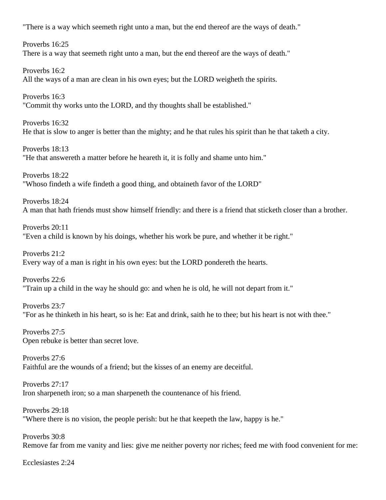"There is a way which seemeth right unto a man, but the end thereof are the ways of death."

Proverbs 16:25 There is a way that seemeth right unto a man, but the end thereof are the ways of death."

Proverbs 16:2 All the ways of a man are clean in his own eyes; but the LORD weigheth the spirits.

Proverbs 16:3 "Commit thy works unto the LORD, and thy thoughts shall be established."

Proverbs 16:32 He that is slow to anger is better than the mighty; and he that rules his spirit than he that taketh a city.

Proverbs 18:13 "He that answereth a matter before he heareth it, it is folly and shame unto him."

Proverbs 18:22 "Whoso findeth a wife findeth a good thing, and obtaineth favor of the LORD"

Proverbs 18:24 A man that hath friends must show himself friendly: and there is a friend that sticketh closer than a brother.

Proverbs 20:11 "Even a child is known by his doings, whether his work be pure, and whether it be right."

Proverbs 21:2 Every way of a man is right in his own eyes: but the LORD pondereth the hearts.

Proverbs 22:6 "Train up a child in the way he should go: and when he is old, he will not depart from it."

Proverbs 23:7 "For as he thinketh in his heart, so is he: Eat and drink, saith he to thee; but his heart is not with thee."

Proverbs 27:5 Open rebuke is better than secret love.

Proverbs 27:6 Faithful are the wounds of a friend; but the kisses of an enemy are deceitful.

Proverbs 27:17 Iron sharpeneth iron; so a man sharpeneth the countenance of his friend.

Proverbs 29:18 "Where there is no vision, the people perish: but he that keepeth the law, happy is he."

Proverbs 30:8 Remove far from me vanity and lies: give me neither poverty nor riches; feed me with food convenient for me:

Ecclesiastes 2:24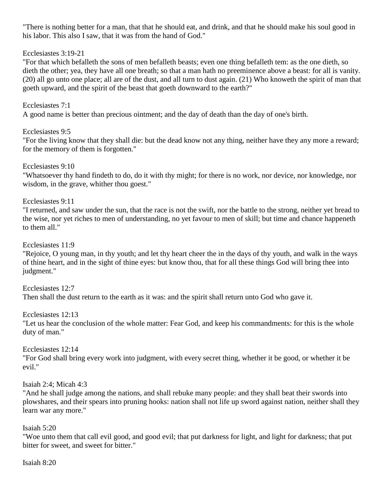"There is nothing better for a man, that that he should eat, and drink, and that he should make his soul good in his labor. This also I saw, that it was from the hand of God."

## Ecclesiastes 3:19-21

"For that which befalleth the sons of men befalleth beasts; even one thing befalleth tem: as the one dieth, so dieth the other; yea, they have all one breath; so that a man hath no preeminence above a beast: for all is vanity. (20) all go unto one place; all are of the dust, and all turn to dust again. (21) Who knoweth the spirit of man that goeth upward, and the spirit of the beast that goeth downward to the earth?"

## Ecclesiastes 7:1

A good name is better than precious ointment; and the day of death than the day of one's birth.

# Ecclesiastes 9:5

"For the living know that they shall die: but the dead know not any thing, neither have they any more a reward; for the memory of them is forgotten."

## Ecclesiastes 9:10

"Whatsoever thy hand findeth to do, do it with thy might; for there is no work, nor device, nor knowledge, nor wisdom, in the grave, whither thou goest."

Ecclesiastes 9:11

"I returned, and saw under the sun, that the race is not the swift, nor the battle to the strong, neither yet bread to the wise, nor yet riches to men of understanding, no yet favour to men of skill; but time and chance happeneth to them all."

Ecclesiastes 11:9

"Rejoice, O young man, in thy youth; and let thy heart cheer the in the days of thy youth, and walk in the ways of thine heart, and in the sight of thine eyes: but know thou, that for all these things God will bring thee into judgment."

Ecclesiastes 12:7 Then shall the dust return to the earth as it was: and the spirit shall return unto God who gave it.

Ecclesiastes 12:13

"Let us hear the conclusion of the whole matter: Fear God, and keep his commandments: for this is the whole duty of man."

# Ecclesiastes 12:14

"For God shall bring every work into judgment, with every secret thing, whether it be good, or whether it be evil."

Isaiah 2:4; Micah 4:3

"And he shall judge among the nations, and shall rebuke many people: and they shall beat their swords into plowshares, and their spears into pruning hooks: nation shall not life up sword against nation, neither shall they learn war any more."

Isaiah 5:20

"Woe unto them that call evil good, and good evil; that put darkness for light, and light for darkness; that put bitter for sweet, and sweet for bitter."

Isaiah 8:20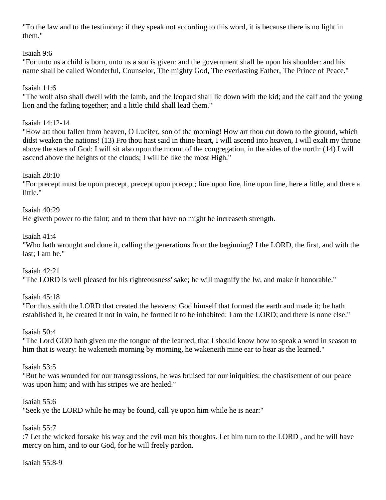"To the law and to the testimony: if they speak not according to this word, it is because there is no light in them."

## Isaiah 9:6

"For unto us a child is born, unto us a son is given: and the government shall be upon his shoulder: and his name shall be called Wonderful, Counselor, The mighty God, The everlasting Father, The Prince of Peace."

# Isaiah 11:6

"The wolf also shall dwell with the lamb, and the leopard shall lie down with the kid; and the calf and the young lion and the fatling together; and a little child shall lead them."

## Isaiah 14:12-14

"How art thou fallen from heaven, O Lucifer, son of the morning! How art thou cut down to the ground, which didst weaken the nations! (13) Fro thou hast said in thine heart, I will ascend into heaven, I will exalt my throne above the stars of God: I will sit also upon the mount of the congregation, in the sides of the north: (14) I will ascend above the heights of the clouds; I will be like the most High."

## Isaiah 28:10

"For precept must be upon precept, precept upon precept; line upon line, line upon line, here a little, and there a little."

## Isaiah 40:29

He giveth power to the faint; and to them that have no might he increaseth strength.

## Isaiah 41:4

"Who hath wrought and done it, calling the generations from the beginning? I the LORD, the first, and with the last; I am he."

## Isaiah 42:21

"The LORD is well pleased for his righteousness' sake; he will magnify the lw, and make it honorable."

## Isaiah 45:18

"For thus saith the LORD that created the heavens; God himself that formed the earth and made it; he hath established it, he created it not in vain, he formed it to be inhabited: I am the LORD; and there is none else."

## Isaiah 50:4

"The Lord GOD hath given me the tongue of the learned, that I should know how to speak a word in season to him that is weary: he wakeneth morning by morning, he wakeneith mine ear to hear as the learned."

## Isaiah 53:5

"But he was wounded for our transgressions, he was bruised for our iniquities: the chastisement of our peace was upon him; and with his stripes we are healed."

## Isaiah 55:6

"Seek ye the LORD while he may be found, call ye upon him while he is near:"

## Isaiah 55:7

:7 Let the wicked forsake his way and the evil man his thoughts. Let him turn to the LORD , and he will have mercy on him, and to our God, for he will freely pardon.

#### Isaiah 55:8-9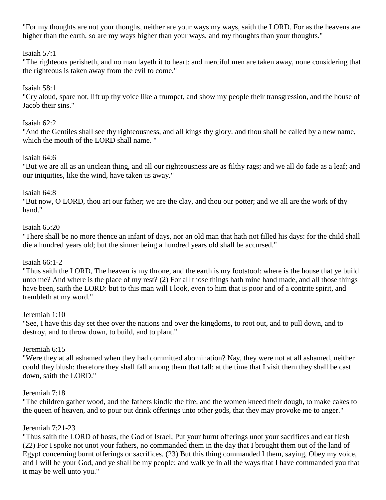"For my thoughts are not your thoughs, neither are your ways my ways, saith the LORD. For as the heavens are higher than the earth, so are my ways higher than your ways, and my thoughts than your thoughts."

#### Isaiah 57:1

"The righteous perisheth, and no man layeth it to heart: and merciful men are taken away, none considering that the righteous is taken away from the evil to come."

#### Isaiah 58:1

"Cry aloud, spare not, lift up thy voice like a trumpet, and show my people their transgression, and the house of Jacob their sins."

#### Isaiah 62:2

"And the Gentiles shall see thy righteousness, and all kings thy glory: and thou shall be called by a new name, which the mouth of the LORD shall name. "

## Isaiah 64:6

"But we are all as an unclean thing, and all our righteousness are as filthy rags; and we all do fade as a leaf; and our iniquities, like the wind, have taken us away."

#### Isaiah 64:8

"But now, O LORD, thou art our father; we are the clay, and thou our potter; and we all are the work of thy hand."

#### Isaiah 65:20

"There shall be no more thence an infant of days, nor an old man that hath not filled his days: for the child shall die a hundred years old; but the sinner being a hundred years old shall be accursed."

#### Isaiah 66:1-2

"Thus saith the LORD, The heaven is my throne, and the earth is my footstool: where is the house that ye build unto me? And where is the place of my rest? (2) For all those things hath mine hand made, and all those things have been, saith the LORD: but to this man will I look, even to him that is poor and of a contrite spirit, and trembleth at my word."

#### Jeremiah 1:10

"See, I have this day set thee over the nations and over the kingdoms, to root out, and to pull down, and to destroy, and to throw down, to build, and to plant."

#### Jeremiah 6:15

"Were they at all ashamed when they had committed abomination? Nay, they were not at all ashamed, neither could they blush: therefore they shall fall among them that fall: at the time that I visit them they shall be cast down, saith the LORD."

#### Jeremiah 7:18

"The children gather wood, and the fathers kindle the fire, and the women kneed their dough, to make cakes to the queen of heaven, and to pour out drink offerings unto other gods, that they may provoke me to anger."

#### Jeremiah 7:21-23

"Thus saith the LORD of hosts, the God of Israel; Put your burnt offerings unot your sacrifices and eat flesh (22) For I spoke not unot your fathers, no commanded them in the day that I brought them out of the land of Egypt concerning burnt offerings or sacrifices. (23) But this thing commanded I them, saying, Obey my voice, and I will be your God, and ye shall be my people: and walk ye in all the ways that I have commanded you that it may be well unto you."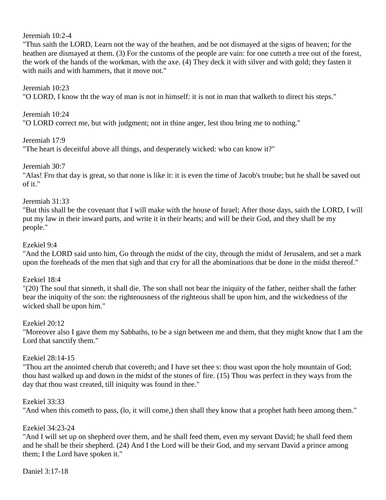Jeremiah 10:2-4

"Thus saith the LORD, Learn not the way of the heathen, and be not dismayed at the signs of heaven; for the heathen are dismayed at them. (3) For the customs of the people are vain: for one cutteth a tree out of the forest, the work of the hands of the workman, with the axe. (4) They deck it with silver and with gold; they fasten it with nails and with hammers, that it move not."

#### Jeremiah 10:23

"O LORD, I know tht the way of man is not in himself: it is not in man that walketh to direct his steps."

Jeremiah 10:24 "O LORD correct me, but with judgment; not in thine anger, lest thou bring me to nothing."

Jeremiah 17:9

"The heart is deceitful above all things, and desperately wicked: who can know it?"

Jeremiah 30:7

"Alas! Fro that day is great, so that none is like it: it is even the time of Jacob's troube; but he shall be saved out of it."

#### Jeremiah 31:33

"But this shall be the covenant that I will make with the house of Israel; After those days, saith the LORD, I will put my law in their inward parts, and write it in their hearts; and will be their God, and they shall be my people."

#### Ezekiel 9:4

"And the LORD said unto him, Go through the midst of the city, through the midst of Jerusalem, and set a mark upon the foreheads of the men that sigh and that cry for all the abominations that be done in the midst thereof."

#### Ezekiel 18:4

"(20) The soul that sinneth, it shall die. The son shall not bear the iniquity of the father, neither shall the father bear the iniquity of the son: the righteousness of the righteous shall be upon him, and the wickedness of the wicked shall be upon him."

#### Ezekiel 20:12

"Moreover also I gave them my Sabbaths, to be a sign between me and them, that they might know that I am the Lord that sanctify them."

#### Ezekiel 28:14-15

"Thou art the anointed cherub that covereth; and I have set thee s: thou wast upon the holy mountain of God; thou hast walked up and down in the midst of the stones of fire. (15) Thou was perfect in they ways from the day that thou wast created, till iniquity was found in thee."

#### Ezekiel 33:33

"And when this cometh to pass, (lo, it will come,) then shall they know that a prophet hath been among them."

#### Ezekiel 34:23-24

"And I will set up on shepherd over them, and he shall feed them, even my servant David; he shall feed them and he shall be their shepherd. (24) And I the Lord will be their God, and my servant David a prince among them; I the Lord have spoken it."

Daniel 3:17-18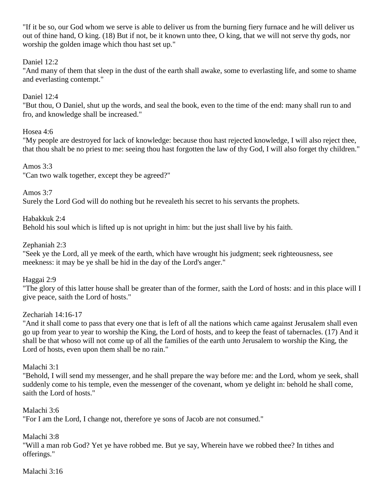"If it be so, our God whom we serve is able to deliver us from the burning fiery furnace and he will deliver us out of thine hand, O king. (18) But if not, be it known unto thee, O king, that we will not serve thy gods, nor worship the golden image which thou hast set up."

# Daniel 12:2

"And many of them that sleep in the dust of the earth shall awake, some to everlasting life, and some to shame and everlasting contempt."

## Daniel 12:4

"But thou, O Daniel, shut up the words, and seal the book, even to the time of the end: many shall run to and fro, and knowledge shall be increased."

## Hosea 4:6

"My people are destroyed for lack of knowledge: because thou hast rejected knowledge, I will also reject thee, that thou shalt be no priest to me: seeing thou hast forgotten the law of thy God, I will also forget thy children."

## Amos 3:3

"Can two walk together, except they be agreed?"

Amos 3:7

Surely the Lord God will do nothing but he revealeth his secret to his servants the prophets.

Habakkuk 2:4 Behold his soul which is lifted up is not upright in him: but the just shall live by his faith.

## Zephaniah 2:3

"Seek ye the Lord, all ye meek of the earth, which have wrought his judgment; seek righteousness, see meekness: it may be ye shall be hid in the day of the Lord's anger."

Haggai 2:9

"The glory of this latter house shall be greater than of the former, saith the Lord of hosts: and in this place will I give peace, saith the Lord of hosts."

## Zechariah 14:16-17

"And it shall come to pass that every one that is left of all the nations which came against Jerusalem shall even go up from year to year to worship the King, the Lord of hosts, and to keep the feast of tabernacles. (17) And it shall be that whoso will not come up of all the families of the earth unto Jerusalem to worship the King, the Lord of hosts, even upon them shall be no rain."

Malachi 3:1

"Behold, I will send my messenger, and he shall prepare the way before me: and the Lord, whom ye seek, shall suddenly come to his temple, even the messenger of the covenant, whom ye delight in: behold he shall come, saith the Lord of hosts."

Malachi 3:6

"For I am the Lord, I change not, therefore ye sons of Jacob are not consumed."

Malachi 3:8

"Will a man rob God? Yet ye have robbed me. But ye say, Wherein have we robbed thee? In tithes and offerings."

Malachi 3:16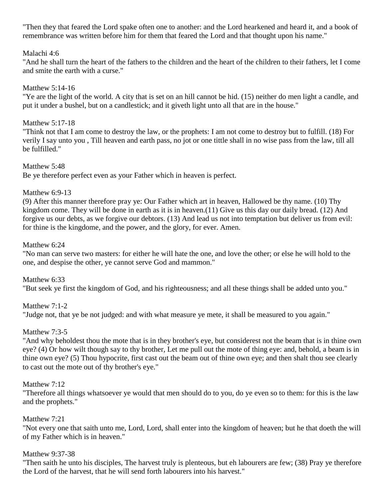"Then they that feared the Lord spake often one to another: and the Lord hearkened and heard it, and a book of remembrance was written before him for them that feared the Lord and that thought upon his name."

#### Malachi 4:6

"And he shall turn the heart of the fathers to the children and the heart of the children to their fathers, let I come and smite the earth with a curse."

## Matthew 5:14-16

"Ye are the light of the world. A city that is set on an hill cannot be hid. (15) neither do men light a candle, and put it under a bushel, but on a candlestick; and it giveth light unto all that are in the house."

## Matthew 5:17-18

"Think not that I am come to destroy the law, or the prophets: I am not come to destroy but to fulfill. (18) For verily I say unto you , Till heaven and earth pass, no jot or one tittle shall in no wise pass from the law, till all be fulfilled."

Matthew 5:48 Be ye therefore perfect even as your Father which in heaven is perfect.

## Matthew 6:9-13

(9) After this manner therefore pray ye: Our Father which art in heaven, Hallowed be thy name. (10) Thy kingdom come. They will be done in earth as it is in heaven.(11) Give us this day our daily bread. (12) And forgive us our debts, as we forgive our debtors. (13) And lead us not into temptation but deliver us from evil: for thine is the kingdome, and the power, and the glory, for ever. Amen.

## Matthew 6:24

"No man can serve two masters: for either he will hate the one, and love the other; or else he will hold to the one, and despise the other, ye cannot serve God and mammon."

Matthew 6:33 "But seek ye first the kingdom of God, and his righteousness; and all these things shall be added unto you."

# Matthew 7:1-2 "Judge not, that ye be not judged: and with what measure ye mete, it shall be measured to you again."

# Matthew 7:3-5

"And why beholdest thou the mote that is in they brother's eye, but considerest not the beam that is in thine own eye? (4) Or how wilt though say to thy brother, Let me pull out the mote of thing eye: and, behold, a beam is in thine own eye? (5) Thou hypocrite, first cast out the beam out of thine own eye; and then shalt thou see clearly to cast out the mote out of thy brother's eye."

## Matthew 7:12

"Therefore all things whatsoever ye would that men should do to you, do ye even so to them: for this is the law and the prophets."

## Matthew 7:21

"Not every one that saith unto me, Lord, Lord, shall enter into the kingdom of heaven; but he that doeth the will of my Father which is in heaven."

## Matthew 9:37-38

"Then saith he unto his disciples, The harvest truly is plenteous, but eh labourers are few; (38) Pray ye therefore the Lord of the harvest, that he will send forth labourers into his harvest."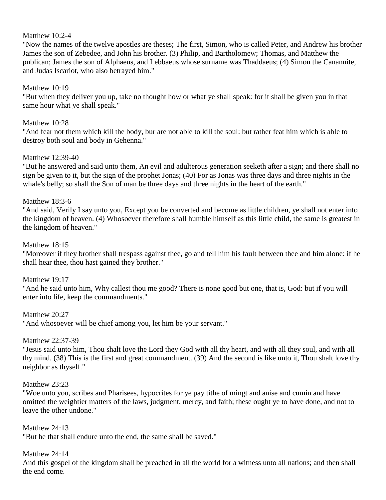#### Matthew 10:2-4

"Now the names of the twelve apostles are theses; The first, Simon, who is called Peter, and Andrew his brother James the son of Zebedee, and John his brother. (3) Philip, and Bartholomew; Thomas, and Matthew the publican; James the son of Alphaeus, and Lebbaeus whose surname was Thaddaeus; (4) Simon the Canannite, and Judas Iscariot, who also betrayed him."

#### Matthew 10:19

"But when they deliver you up, take no thought how or what ye shall speak: for it shall be given you in that same hour what ye shall speak."

#### Matthew 10:28

"And fear not them which kill the body, bur are not able to kill the soul: but rather feat him which is able to destroy both soul and body in Gehenna."

#### Matthew 12:39-40

"But he answered and said unto them, An evil and adulterous generation seeketh after a sign; and there shall no sign be given to it, but the sign of the prophet Jonas; (40) For as Jonas was three days and three nights in the whale's belly; so shall the Son of man be three days and three nights in the heart of the earth."

#### Matthew 18:3-6

"And said, Verily I say unto you, Except you be converted and become as little children, ye shall not enter into the kingdom of heaven. (4) Whosoever therefore shall humble himself as this little child, the same is greatest in the kingdom of heaven."

#### Matthew 18:15

"Moreover if they brother shall trespass against thee, go and tell him his fault between thee and him alone: if he shall hear thee, thou hast gained they brother."

Matthew 19:17

"And he said unto him, Why callest thou me good? There is none good but one, that is, God: but if you will enter into life, keep the commandments."

Matthew 20:27

"And whosoever will be chief among you, let him be your servant."

Matthew 22:37-39

"Jesus said unto him, Thou shalt love the Lord they God with all thy heart, and with all they soul, and with all thy mind. (38) This is the first and great commandment. (39) And the second is like unto it, Thou shalt love thy neighbor as thyself."

#### Matthew 23:23

"Woe unto you, scribes and Pharisees, hypocrites for ye pay tithe of mingt and anise and cumin and have omitted the weightier matters of the laws, judgment, mercy, and faith; these ought ye to have done, and not to leave the other undone."

Matthew 24:13 "But he that shall endure unto the end, the same shall be saved."

#### Matthew 24:14

And this gospel of the kingdom shall be preached in all the world for a witness unto all nations; and then shall the end come.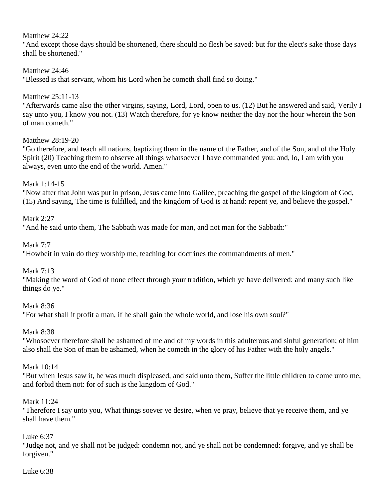## Matthew 24:22

"And except those days should be shortened, there should no flesh be saved: but for the elect's sake those days shall be shortened."

## Matthew 24:46

"Blessed is that servant, whom his Lord when he cometh shall find so doing."

## Matthew 25:11-13

"Afterwards came also the other virgins, saying, Lord, Lord, open to us. (12) But he answered and said, Verily I say unto you, I know you not. (13) Watch therefore, for ye know neither the day nor the hour wherein the Son of man cometh."

## Matthew 28:19-20

"Go therefore, and teach all nations, baptizing them in the name of the Father, and of the Son, and of the Holy Spirit (20) Teaching them to observe all things whatsoever I have commanded you: and, lo, I am with you always, even unto the end of the world. Amen."

## Mark 1:14-15

"Now after that John was put in prison, Jesus came into Galilee, preaching the gospel of the kingdom of God, (15) And saying, The time is fulfilled, and the kingdom of God is at hand: repent ye, and believe the gospel."

## Mark 2:27

"And he said unto them, The Sabbath was made for man, and not man for the Sabbath:"

Mark 7:7

"Howbeit in vain do they worship me, teaching for doctrines the commandments of men."

Mark 7:13

"Making the word of God of none effect through your tradition, which ye have delivered: and many such like things do ye."

Mark 8:36

"For what shall it profit a man, if he shall gain the whole world, and lose his own soul?"

Mark 8:38

"Whosoever therefore shall be ashamed of me and of my words in this adulterous and sinful generation; of him also shall the Son of man be ashamed, when he cometh in the glory of his Father with the holy angels."

## Mark 10:14

"But when Jesus saw it, he was much displeased, and said unto them, Suffer the little children to come unto me, and forbid them not: for of such is the kingdom of God."

## Mark 11:24

"Therefore I say unto you, What things soever ye desire, when ye pray, believe that ye receive them, and ye shall have them."

# Luke 6:37

"Judge not, and ye shall not be judged: condemn not, and ye shall not be condemned: forgive, and ye shall be forgiven."

#### Luke 6:38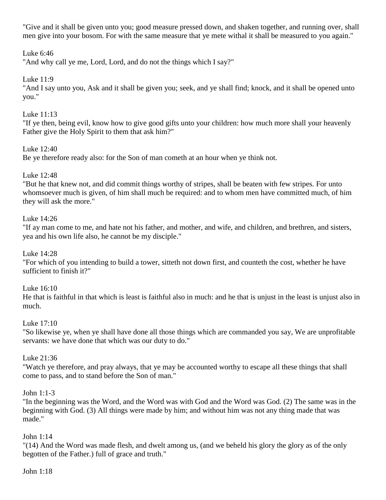"Give and it shall be given unto you; good measure pressed down, and shaken together, and running over, shall men give into your bosom. For with the same measure that ye mete withal it shall be measured to you again."

## Luke 6:46

"And why call ye me, Lord, Lord, and do not the things which I say?"

## Luke 11:9

"And I say unto you, Ask and it shall be given you; seek, and ye shall find; knock, and it shall be opened unto you."

## Luke 11:13

"If ye then, being evil, know how to give good gifts unto your children: how much more shall your heavenly Father give the Holy Spirit to them that ask him?"

## Luke 12:40

Be ye therefore ready also: for the Son of man cometh at an hour when ye think not.

## Luke 12:48

"But he that knew not, and did commit things worthy of stripes, shall be beaten with few stripes. For unto whomsoever much is given, of him shall much be required: and to whom men have committed much, of him they will ask the more."

## Luke 14:26

"If ay man come to me, and hate not his father, and mother, and wife, and children, and brethren, and sisters, yea and his own life also, he cannot be my disciple."

## Luke 14:28

"For which of you intending to build a tower, sitteth not down first, and counteth the cost, whether he have sufficient to finish it?"

## Luke 16:10

He that is faithful in that which is least is faithful also in much: and he that is unjust in the least is unjust also in much.

## Luke 17:10

"So likewise ye, when ye shall have done all those things which are commanded you say, We are unprofitable servants: we have done that which was our duty to do."

## Luke 21:36

"Watch ye therefore, and pray always, that ye may be accounted worthy to escape all these things that shall come to pass, and to stand before the Son of man."

## John 1:1-3

"In the beginning was the Word, and the Word was with God and the Word was God. (2) The same was in the beginning with God. (3) All things were made by him; and without him was not any thing made that was made."

## John 1:14

"(14) And the Word was made flesh, and dwelt among us, (and we beheld his glory the glory as of the only begotten of the Father.) full of grace and truth."

#### John 1:18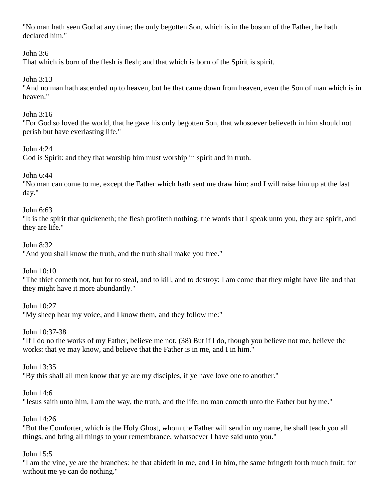"No man hath seen God at any time; the only begotten Son, which is in the bosom of the Father, he hath declared him."

## John 3:6

That which is born of the flesh is flesh; and that which is born of the Spirit is spirit.

## John 3:13

"And no man hath ascended up to heaven, but he that came down from heaven, even the Son of man which is in heaven."

## John 3:16

"For God so loved the world, that he gave his only begotten Son, that whosoever believeth in him should not perish but have everlasting life."

## John  $4.24$

God is Spirit: and they that worship him must worship in spirit and in truth.

## John 6:44

"No man can come to me, except the Father which hath sent me draw him: and I will raise him up at the last day."

## John 6:63

"It is the spirit that quickeneth; the flesh profiteth nothing: the words that I speak unto you, they are spirit, and they are life."

## John 8:32

"And you shall know the truth, and the truth shall make you free."

## John 10:10

"The thief cometh not, but for to steal, and to kill, and to destroy: I am come that they might have life and that they might have it more abundantly."

## John 10:27

"My sheep hear my voice, and I know them, and they follow me:"

## John 10:37-38

"If I do no the works of my Father, believe me not. (38) But if I do, though you believe not me, believe the works: that ye may know, and believe that the Father is in me, and I in him."

## John 13:35

"By this shall all men know that ye are my disciples, if ye have love one to another."

## John 14:6

"Jesus saith unto him, I am the way, the truth, and the life: no man cometh unto the Father but by me."

## John 14:26

"But the Comforter, which is the Holy Ghost, whom the Father will send in my name, he shall teach you all things, and bring all things to your remembrance, whatsoever I have said unto you."

# John 15:5

"I am the vine, ye are the branches: he that abideth in me, and I in him, the same bringeth forth much fruit: for without me ye can do nothing."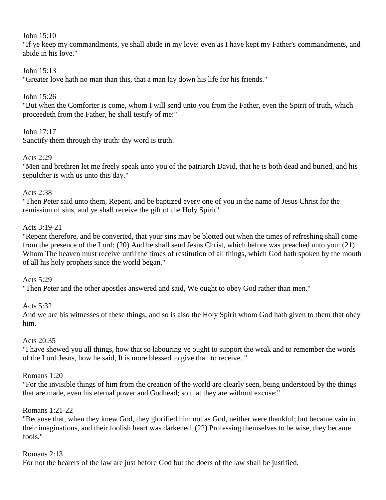#### John 15:10

"If ye keep my commandments, ye shall abide in my love: even as I have kept my Father's commandments, and abide in his love."

#### John 15:13

"Greater love hath no man than this, that a man lay down his life for his friends."

#### John 15:26

"But when the Comforter is come, whom I will send unto you from the Father, even the Spirit of truth, which proceedeth from the Father, he shall testify of me:"

#### John 17:17

Sanctify them through thy truth: thy word is truth.

#### Acts 2:29

"Men and brethren let me freely speak unto you of the patriarch David, that he is both dead and buried, and his sepulcher is with us unto this day."

#### Acts 2:38

"Then Peter said unto them, Repent, and be baptized every one of you in the name of Jesus Christ for the remission of sins, and ye shall receive the gift of the Holy Spirit"

#### Acts 3:19-21

"Repent therefore, and be converted, that your sins may be blotted out when the times of refreshing shall come from the presence of the Lord; (20) And he shall send Jesus Christ, which before was preached unto you: (21) Whom The heaven must receive until the times of restitution of all things, which God hath spoken by the mouth of all his holy prophets since the world began."

#### Acts 5:29

"Then Peter and the other apostles answered and said, We ought to obey God rather than men."

#### Acts 5:32

And we are his witnesses of these things; and so is also the Holy Spirit whom God hath given to them that obey him.

#### Acts 20:35

"I have shewed you all things, how that so labouring ye ought to support the weak and to remember the words of the Lord Jesus, how he said, It is more blessed to give than to receive. "

#### Romans 1:20

"For the invisible things of him from the creation of the world are clearly seen, being understood by the things that are made, even his eternal power and Godhead; so that they are without excuse:"

#### Romans 1:21-22

"Because that, when they knew God, they glorified him not as God, neither were thankful; but became vain in their imaginations, and their foolish heart was darkened. (22) Professing themselves to be wise, they became fools."

#### Romans 2:13

For not the hearers of the law are just before God but the doers of the law shall be justified.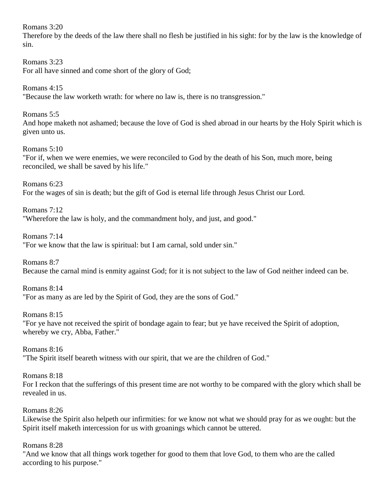Romans 3:20

Therefore by the deeds of the law there shall no flesh be justified in his sight: for by the law is the knowledge of sin.

Romans 3:23 For all have sinned and come short of the glory of God;

Romans 4:15 "Because the law worketh wrath: for where no law is, there is no transgression."

Romans 5:5 And hope maketh not ashamed; because the love of God is shed abroad in our hearts by the Holy Spirit which is given unto us.

Romans 5:10 "For if, when we were enemies, we were reconciled to God by the death of his Son, much more, being reconciled, we shall be saved by his life."

Romans 6:23 For the wages of sin is death; but the gift of God is eternal life through Jesus Christ our Lord.

Romans 7:12 "Wherefore the law is holy, and the commandment holy, and just, and good."

Romans 7:14 "For we know that the law is spiritual: but I am carnal, sold under sin."

Romans 8:7 Because the carnal mind is enmity against God; for it is not subject to the law of God neither indeed can be.

Romans 8:14 "For as many as are led by the Spirit of God, they are the sons of God."

Romans 8:15 "For ye have not received the spirit of bondage again to fear; but ye have received the Spirit of adoption, whereby we cry, Abba, Father."

Romans 8:16 "The Spirit itself beareth witness with our spirit, that we are the children of God."

Romans 8:18 For I reckon that the sufferings of this present time are not worthy to be compared with the glory which shall be revealed in us.

Romans 8:26

Likewise the Spirit also helpeth our infirmities: for we know not what we should pray for as we ought: but the Spirit itself maketh intercession for us with groanings which cannot be uttered.

Romans 8:28

"And we know that all things work together for good to them that love God, to them who are the called according to his purpose."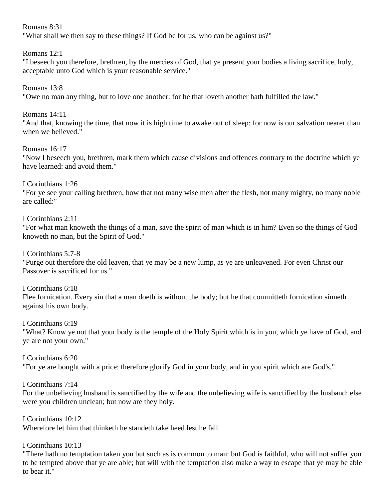Romans 8:31

"What shall we then say to these things? If God be for us, who can be against us?"

Romans 12:1

"I beseech you therefore, brethren, by the mercies of God, that ye present your bodies a living sacrifice, holy, acceptable unto God which is your reasonable service."

Romans 13:8

"Owe no man any thing, but to love one another: for he that loveth another hath fulfilled the law."

Romans 14:11

"And that, knowing the time, that now it is high time to awake out of sleep: for now is our salvation nearer than when we believed."

Romans 16:17

"Now I beseech you, brethren, mark them which cause divisions and offences contrary to the doctrine which ye have learned: and avoid them."

I Corinthians 1:26 "For ye see your calling brethren, how that not many wise men after the flesh, not many mighty, no many noble are called:"

I Corinthians 2:11

"For what man knoweth the things of a man, save the spirit of man which is in him? Even so the things of God knoweth no man, but the Spirit of God."

I Corinthians 5:7-8

"Purge out therefore the old leaven, that ye may be a new lump, as ye are unleavened. For even Christ our Passover is sacrificed for us."

I Corinthians 6:18 Flee fornication. Every sin that a man doeth is without the body; but he that committeth fornication sinneth against his own body.

I Corinthians 6:19

"What? Know ye not that your body is the temple of the Holy Spirit which is in you, which ye have of God, and ye are not your own."

I Corinthians 6:20 "For ye are bought with a price: therefore glorify God in your body, and in you spirit which are God's."

I Corinthians 7:14

For the unbelieving husband is sanctified by the wife and the unbelieving wife is sanctified by the husband: else were you children unclean; but now are they holy.

I Corinthians 10:12 Wherefore let him that thinketh he standeth take heed lest he fall.

I Corinthians 10:13

"There hath no temptation taken you but such as is common to man: but God is faithful, who will not suffer you to be tempted above that ye are able; but will with the temptation also make a way to escape that ye may be able to bear it."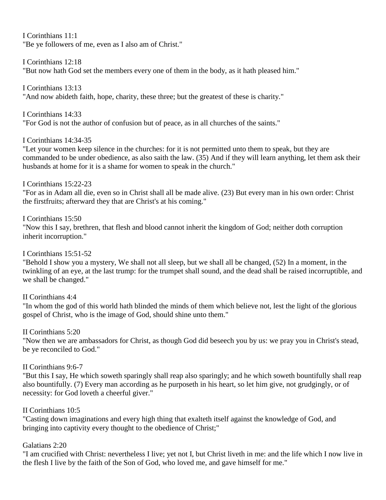I Corinthians 11:1 "Be ye followers of me, even as I also am of Christ."

I Corinthians 12:18 "But now hath God set the members every one of them in the body, as it hath pleased him."

I Corinthians 13:13 "And now abideth faith, hope, charity, these three; but the greatest of these is charity."

I Corinthians 14:33 "For God is not the author of confusion but of peace, as in all churches of the saints."

I Corinthians 14:34-35

"Let your women keep silence in the churches: for it is not permitted unto them to speak, but they are commanded to be under obedience, as also saith the law. (35) And if they will learn anything, let them ask their husbands at home for it is a shame for women to speak in the church."

I Corinthians 15:22-23

"For as in Adam all die, even so in Christ shall all be made alive. (23) But every man in his own order: Christ the firstfruits; afterward they that are Christ's at his coming."

I Corinthians 15:50

"Now this I say, brethren, that flesh and blood cannot inherit the kingdom of God; neither doth corruption inherit incorruption."

I Corinthians 15:51-52

"Behold I show you a mystery, We shall not all sleep, but we shall all be changed, (52) In a moment, in the twinkling of an eye, at the last trump: for the trumpet shall sound, and the dead shall be raised incorruptible, and we shall be changed."

II Corinthians 4:4

"In whom the god of this world hath blinded the minds of them which believe not, lest the light of the glorious gospel of Christ, who is the image of God, should shine unto them."

II Corinthians 5:20

"Now then we are ambassadors for Christ, as though God did beseech you by us: we pray you in Christ's stead, be ye reconciled to God."

II Corinthians 9:6-7

"But this I say, He which soweth sparingly shall reap also sparingly; and he which soweth bountifully shall reap also bountifully. (7) Every man according as he purposeth in his heart, so let him give, not grudgingly, or of necessity: for God loveth a cheerful giver."

# II Corinthians 10:5

"Casting down imaginations and every high thing that exalteth itself against the knowledge of God, and bringing into captivity every thought to the obedience of Christ;"

## Galatians 2:20

"I am crucified with Christ: nevertheless I live; yet not I, but Christ liveth in me: and the life which I now live in the flesh I live by the faith of the Son of God, who loved me, and gave himself for me."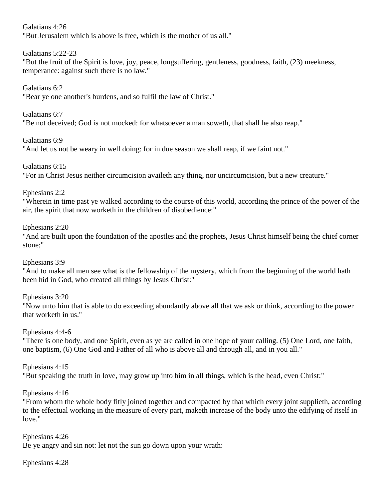Galatians 4:26 "But Jerusalem which is above is free, which is the mother of us all."

Galatians 5:22-23

"But the fruit of the Spirit is love, joy, peace, longsuffering, gentleness, goodness, faith, (23) meekness, temperance: against such there is no law."

Galatians 6:2

"Bear ye one another's burdens, and so fulfil the law of Christ."

Galatians 6:7

"Be not deceived; God is not mocked: for whatsoever a man soweth, that shall he also reap."

Galatians 6:9

"And let us not be weary in well doing: for in due season we shall reap, if we faint not."

Galatians 6:15

"For in Christ Jesus neither circumcision availeth any thing, nor uncircumcision, but a new creature."

Ephesians 2:2

"Wherein in time past ye walked according to the course of this world, according the prince of the power of the air, the spirit that now worketh in the children of disobedience:"

## Ephesians 2:20

"And are built upon the foundation of the apostles and the prophets, Jesus Christ himself being the chief corner stone;"

Ephesians 3:9

"And to make all men see what is the fellowship of the mystery, which from the beginning of the world hath been hid in God, who created all things by Jesus Christ:"

Ephesians 3:20

"Now unto him that is able to do exceeding abundantly above all that we ask or think, according to the power that worketh in us."

Ephesians 4:4-6

"There is one body, and one Spirit, even as ye are called in one hope of your calling. (5) One Lord, one faith, one baptism, (6) One God and Father of all who is above all and through all, and in you all."

Ephesians 4:15

"But speaking the truth in love, may grow up into him in all things, which is the head, even Christ:"

Ephesians 4:16

"From whom the whole body fitly joined together and compacted by that which every joint supplieth, according to the effectual working in the measure of every part, maketh increase of the body unto the edifying of itself in love."

Ephesians 4:26 Be ye angry and sin not: let not the sun go down upon your wrath:

Ephesians 4:28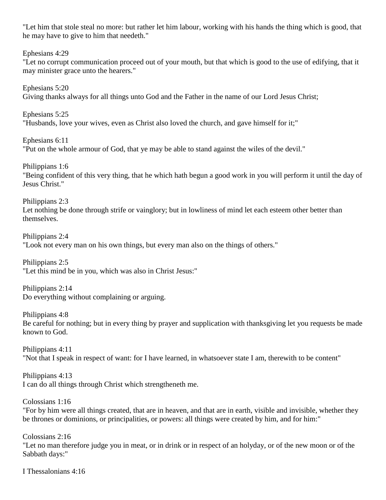"Let him that stole steal no more: but rather let him labour, working with his hands the thing which is good, that he may have to give to him that needeth."

Ephesians 4:29

"Let no corrupt communication proceed out of your mouth, but that which is good to the use of edifying, that it may minister grace unto the hearers."

Ephesians 5:20 Giving thanks always for all things unto God and the Father in the name of our Lord Jesus Christ;

Ephesians 5:25 "Husbands, love your wives, even as Christ also loved the church, and gave himself for it;"

Ephesians 6:11 "Put on the whole armour of God, that ye may be able to stand against the wiles of the devil."

Philippians 1:6 "Being confident of this very thing, that he which hath begun a good work in you will perform it until the day of Jesus Christ."

Philippians 2:3 Let nothing be done through strife or vainglory; but in lowliness of mind let each esteem other better than themselves.

Philippians 2:4 "Look not every man on his own things, but every man also on the things of others."

Philippians 2:5 "Let this mind be in you, which was also in Christ Jesus:"

Philippians 2:14 Do everything without complaining or arguing.

Philippians 4:8 Be careful for nothing; but in every thing by prayer and supplication with thanksgiving let you requests be made known to God.

Philippians 4:11 "Not that I speak in respect of want: for I have learned, in whatsoever state I am, therewith to be content"

Philippians 4:13 I can do all things through Christ which strengtheneth me.

Colossians 1:16

"For by him were all things created, that are in heaven, and that are in earth, visible and invisible, whether they be thrones or dominions, or principalities, or powers: all things were created by him, and for him:"

Colossians 2:16 "Let no man therefore judge you in meat, or in drink or in respect of an holyday, or of the new moon or of the Sabbath days:"

I Thessalonians 4:16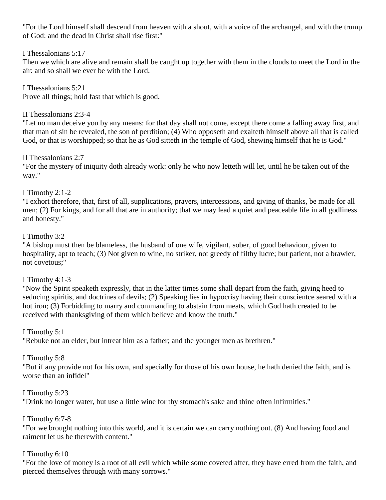"For the Lord himself shall descend from heaven with a shout, with a voice of the archangel, and with the trump of God: and the dead in Christ shall rise first:"

## I Thessalonians 5:17

Then we which are alive and remain shall be caught up together with them in the clouds to meet the Lord in the air: and so shall we ever be with the Lord.

I Thessalonians 5:21 Prove all things; hold fast that which is good.

# II Thessalonians 2:3-4

"Let no man deceive you by any means: for that day shall not come, except there come a falling away first, and that man of sin be revealed, the son of perdition; (4) Who opposeth and exalteth himself above all that is called God, or that is worshipped; so that he as God sitteth in the temple of God, shewing himself that he is God."

II Thessalonians 2:7

"For the mystery of iniquity doth already work: only he who now letteth will let, until he be taken out of the way."

## I Timothy 2:1-2

"I exhort therefore, that, first of all, supplications, prayers, intercessions, and giving of thanks, be made for all men; (2) For kings, and for all that are in authority; that we may lead a quiet and peaceable life in all godliness and honesty."

# I Timothy 3:2

"A bishop must then be blameless, the husband of one wife, vigilant, sober, of good behaviour, given to hospitality, apt to teach; (3) Not given to wine, no striker, not greedy of filthy lucre; but patient, not a brawler, not covetous;"

# I Timothy 4:1-3

"Now the Spirit speaketh expressly, that in the latter times some shall depart from the faith, giving heed to seducing spiritis, and doctrines of devils; (2) Speaking lies in hypocrisy having their conscientce seared with a hot iron; (3) Forbidding to marry and commanding to abstain from meats, which God hath created to be received with thanksgiving of them which believe and know the truth."

## I Timothy 5:1

"Rebuke not an elder, but intreat him as a father; and the younger men as brethren."

# I Timothy 5:8

"But if any provide not for his own, and specially for those of his own house, he hath denied the faith, and is worse than an infidel"

## I Timothy 5:23

"Drink no longer water, but use a little wine for thy stomach's sake and thine often infirmities."

## I Timothy 6:7-8

"For we brought nothing into this world, and it is certain we can carry nothing out. (8) And having food and raiment let us be therewith content."

## I Timothy 6:10

"For the love of money is a root of all evil which while some coveted after, they have erred from the faith, and pierced themselves through with many sorrows."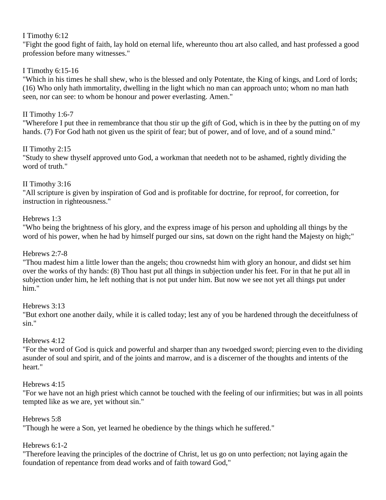## I Timothy 6:12

"Fight the good fight of faith, lay hold on eternal life, whereunto thou art also called, and hast professed a good profession before many witnesses."

# I Timothy 6:15-16

"Which in his times he shall shew, who is the blessed and only Potentate, the King of kings, and Lord of lords; (16) Who only hath immortality, dwelling in the light which no man can approach unto; whom no man hath seen, nor can see: to whom be honour and power everlasting. Amen."

# II Timothy 1:6-7

"Wherefore I put thee in remembrance that thou stir up the gift of God, which is in thee by the putting on of my hands. (7) For God hath not given us the spirit of fear; but of power, and of love, and of a sound mind."

## II Timothy 2:15

"Study to shew thyself approved unto God, a workman that needeth not to be ashamed, rightly dividing the word of truth."

## II Timothy 3:16

"All scripture is given by inspiration of God and is profitable for doctrine, for reproof, for correetion, for instruction in righteousness."

## Hebrews 1:3

"Who being the brightness of his glory, and the express image of his person and upholding all things by the word of his power, when he had by himself purged our sins, sat down on the right hand the Majesty on high;"

## Hebrews 2:7-8

"Thou madest him a little lower than the angels; thou crownedst him with glory an honour, and didst set him over the works of thy hands: (8) Thou hast put all things in subjection under his feet. For in that he put all in subjection under him, he left nothing that is not put under him. But now we see not yet all things put under him."

## Hebrews 3:13

"But exhort one another daily, while it is called today; lest any of you be hardened through the deceitfulness of sin."

## Hebrews 4:12

"For the word of God is quick and powerful and sharper than any twoedged sword; piercing even to the dividing asunder of soul and spirit, and of the joints and marrow, and is a discerner of the thoughts and intents of the heart."

## Hebrews 4:15

"For we have not an high priest which cannot be touched with the feeling of our infirmities; but was in all points tempted like as we are, yet without sin."

## Hebrews 5:8

"Though he were a Son, yet learned he obedience by the things which he suffered."

## Hebrews 6:1-2

"Therefore leaving the principles of the doctrine of Christ, let us go on unto perfection; not laying again the foundation of repentance from dead works and of faith toward God,"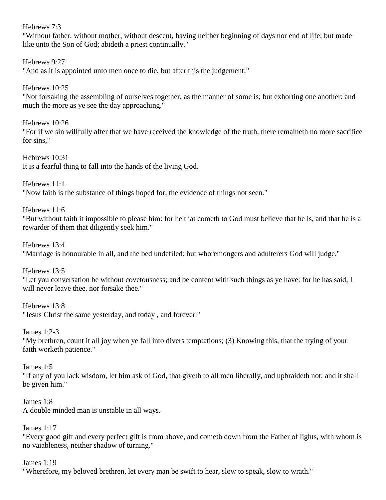## Hebrews 7:3

"Without father, without mother, without descent, having neither beginning of days nor end of life; but made like unto the Son of God; abideth a priest continually."

Hebrews 9:27 "And as it is appointed unto men once to die, but after this the judgement:"

Hebrews 10:25 "Not forsaking the assembling of ourselves together, as the manner of some is; but exhorting one another: and much the more as ye see the day approaching."

Hebrews 10:26 "For if we sin willfully after that we have received the knowledge of the truth, there remaineth no more sacrifice for sins,"

Hebrews 10:31 It is a fearful thing to fall into the hands of the living God.

Hebrews 11:1 "Now faith is the substance of things hoped for, the evidence of things not seen."

Hebrews 11:6

"But without faith it impossible to please him: for he that cometh to God must believe that he is, and that he is a rewarder of them that diligently seek him."

Hebrews 13:4

"Marriage is honourable in all, and the bed undefiled: but whoremongers and adulterers God will judge."

Hebrews 13:5

"Let you conversation be without covetousness; and be content with such things as ye have: for he has said, I will never leave thee, nor forsake thee."

Hebrews 13:8 "Jesus Christ the same yesterday, and today , and forever."

James 1:2-3 "My brethren, count it all joy when ye fall into divers temptations; (3) Knowing this, that the trying of your faith worketh patience."

James 1:5 "If any of you lack wisdom, let him ask of God, that giveth to all men liberally, and upbraideth not; and it shall be given him."

James 1:8 A double minded man is unstable in all ways.

James 1:17

"Every good gift and every perfect gift is from above, and cometh down from the Father of lights, with whom is no vaiableness, neither shadow of turning."

James 1:19

"Wherefore, my beloved brethren, let every man be swift to hear, slow to speak, slow to wrath."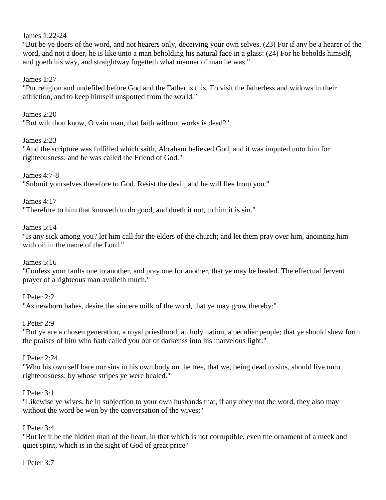#### James 1:22-24

"But be ye doers of the word, and not hearers only, deceiving your own selves. (23) For if any be a hearer of the word, and not a doer, he is like unto a man beholding his natural face in a glass: (24) For he beholds himself, and goeth his way, and straightway fogetteth what manner of man he was."

#### James 1:27

"Pur religion and undefiled before God and the Father is this, To visit the fatherless and widows in their affliction, and to keep himself unspotted from the world."

#### James 2:20

"But wilt thou know, O vain man, that faith without works is dead?"

#### James 2:23

"And the scripture was fulfilled which saith, Abraham believed God, and it was imputed unto him for righteousness: and he was called the Friend of God."

#### James 4:7-8

"Submit yourselves therefore to God. Resist the devil, and he will flee from you."

#### James 4:17

"Therefore to him that knoweth to do good, and doeth it not, to him it is sin."

#### James 5:14

"Is any sick among you? let him call for the elders of the church; and let them pray over him, anointing him with oil in the name of the Lord."

#### James 5:16

"Confess your faults one to another, and pray one for another, that ye may be healed. The effectual fervent prayer of a righteous man availeth much."

#### I Peter 2:2

"As newborn babes, desire the sincere milk of the word, that ye may grow thereby:"

#### I Peter 2:9

"But ye are a chosen generation, a royal priesthood, an holy nation, a peculiar people; that ye should shew forth the praises of him who hath called you out of darkenss into his marvelous light:"

#### I Peter 2:24

"Who his own self bare our sins in his own body on the tree, that we, being dead to sins, should live unto righteousness: by whose stripes ye were healed."

#### I Peter 3:1

"Likewise ye wives, be in subjection to your own husbands that, if any obey not the word, they also may without the word be won by the conversation of the wives;"

#### I Peter 3:4

"But let it be the hidden man of the heart, in that which is not corruptible, even the ornament of a meek and quiet spirit, which is in the sight of God of great price"

#### I Peter 3:7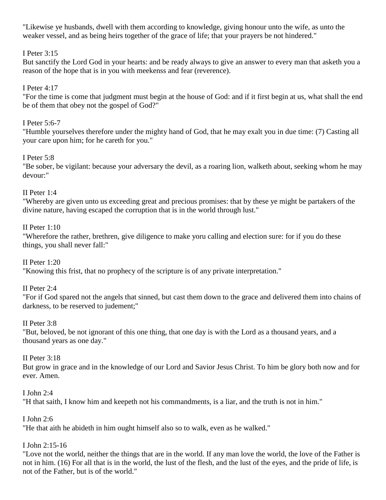"Likewise ye husbands, dwell with them according to knowledge, giving honour unto the wife, as unto the weaker vessel, and as being heirs together of the grace of life; that your prayers be not hindered."

## I Peter 3:15

But sanctify the Lord God in your hearts: and be ready always to give an answer to every man that asketh you a reason of the hope that is in you with meekenss and fear (reverence).

## I Peter 4:17

"For the time is come that judgment must begin at the house of God: and if it first begin at us, what shall the end be of them that obey not the gospel of God?"

## I Peter 5:6-7

"Humble yourselves therefore under the mighty hand of God, that he may exalt you in due time: (7) Casting all your care upon him; for he careth for you."

## I Peter 5:8

"Be sober, be vigilant: because your adversary the devil, as a roaring lion, walketh about, seeking whom he may devour:"

## II Peter 1:4

"Whereby are given unto us exceeding great and precious promises: that by these ye might be partakers of the divine nature, having escaped the corruption that is in the world through lust."

## II Peter 1:10

"Wherefore the rather, brethren, give diligence to make yoru calling and election sure: for if you do these things, you shall never fall:"

## II Peter 1:20

"Knowing this frist, that no prophecy of the scripture is of any private interpretation."

## II Peter 2:4

"For if God spared not the angels that sinned, but cast them down to the grace and delivered them into chains of darkness, to be reserved to judement;"

## II Peter 3:8

"But, beloved, be not ignorant of this one thing, that one day is with the Lord as a thousand years, and a thousand years as one day."

## II Peter 3:18

But grow in grace and in the knowledge of our Lord and Savior Jesus Christ. To him be glory both now and for ever. Amen.

## I John 2:4

"H that saith, I know him and keepeth not his commandments, is a liar, and the truth is not in him."

## I John 2:6

"He that aith he abideth in him ought himself also so to walk, even as he walked."

# I John 2:15-16

"Love not the world, neither the things that are in the world. If any man love the world, the love of the Father is not in him. (16) For all that is in the world, the lust of the flesh, and the lust of the eyes, and the pride of life, is not of the Father, but is of the world."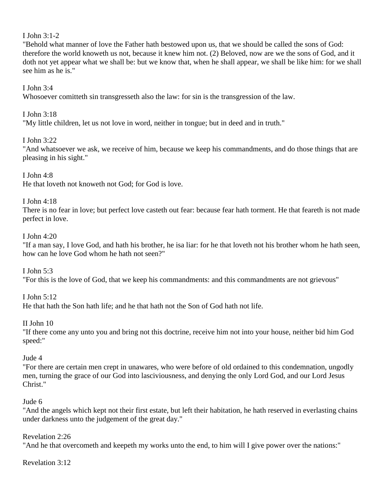## I John 3:1-2

"Behold what manner of love the Father hath bestowed upon us, that we should be called the sons of God: therefore the world knoweth us not, because it knew him not. (2) Beloved, now are we the sons of God, and it doth not yet appear what we shall be: but we know that, when he shall appear, we shall be like him: for we shall see him as he is."

#### I John 3:4

Whosoever comitteth sin transgresseth also the law: for sin is the transgression of the law.

## I John 3:18

"My little children, let us not love in word, neither in tongue; but in deed and in truth."

## I John 3:22

"And whatsoever we ask, we receive of him, because we keep his commandments, and do those things that are pleasing in his sight."

## I John 4:8

He that loveth not knoweth not God; for God is love.

## I John 4:18

There is no fear in love; but perfect love casteth out fear: because fear hath torment. He that feareth is not made perfect in love.

## I John 4:20

"If a man say, I love God, and hath his brother, he isa liar: for he that loveth not his brother whom he hath seen, how can he love God whom he hath not seen?"

I John 5:3

"For this is the love of God, that we keep his commandments: and this commandments are not grievous"

I John 5:12

He that hath the Son hath life; and he that hath not the Son of God hath not life.

## II John 10

"If there come any unto you and bring not this doctrine, receive him not into your house, neither bid him God speed:"

## Jude 4

"For there are certain men crept in unawares, who were before of old ordained to this condemnation, ungodly men, turning the grace of our God into lasciviousness, and denying the only Lord God, and our Lord Jesus Christ."

## Jude 6

"And the angels which kept not their first estate, but left their habitation, he hath reserved in everlasting chains under darkness unto the judgement of the great day."

## Revelation 2:26

"And he that overcometh and keepeth my works unto the end, to him will I give power over the nations:"

## Revelation 3:12